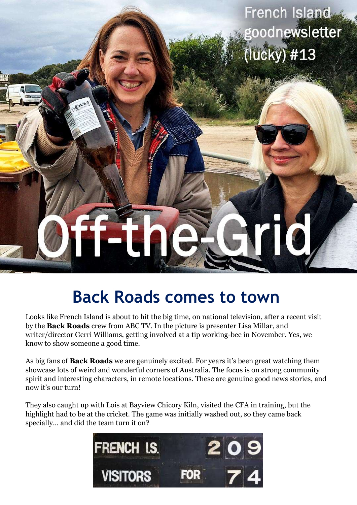French Island goodnewsletter  $($ lucky $)$  #13

# **Back Roads comes to town**

Looks like French Island is about to hit the big time, on national television, after a recent visit by the **Back Roads** crew from ABC TV. In the picture is presenter Lisa Millar, and writer/director Gerri Williams, getting involved at a tip working-bee in November. Yes, we know to show someone a good time.

As big fans of **Back Roads** we are genuinely excited. For years it's been great watching them showcase lots of weird and wonderful corners of Australia. The focus is on strong community spirit and interesting characters, in remote locations. These are genuine good news stories, and now it's our turn!

They also caught up with Lois at Bayview Chicory Kiln, visited the CFA in training, but the highlight had to be at the cricket. The game was initially washed out, so they came back specially… and did the team turn it on?

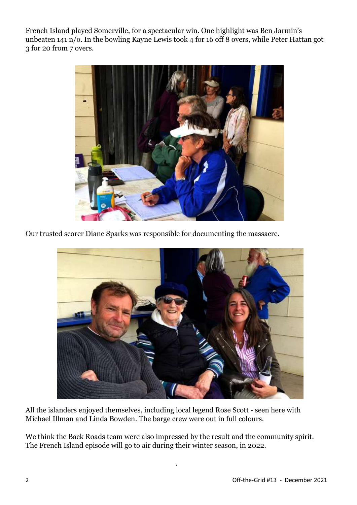French Island played Somerville, for a spectacular win. One highlight was Ben Jarmin's unbeaten 141 n/o. In the bowling Kayne Lewis took 4 for 16 off 8 overs, while Peter Hattan got 3 for 20 from 7 overs.



Our trusted scorer Diane Sparks was responsible for documenting the massacre.



All the islanders enjoyed themselves, including local legend Rose Scott - seen here with Michael Illman and Linda Bowden. The barge crew were out in full colours.

We think the Back Roads team were also impressed by the result and the community spirit. The French Island episode will go to air during their winter season, in 2022.

.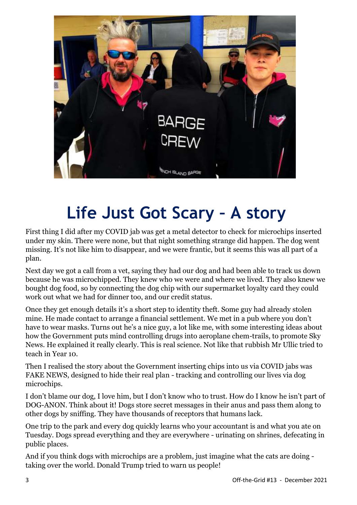

### **Life Just Got Scary – A story**

First thing I did after my COVID jab was get a metal detector to check for microchips inserted under my skin. There were none, but that night something strange did happen. The dog went missing. It's not like him to disappear, and we were frantic, but it seems this was all part of a plan.

Next day we got a call from a vet, saying they had our dog and had been able to track us down because he was microchipped. They knew who we were and where we lived. They also knew we bought dog food, so by connecting the dog chip with our supermarket loyalty card they could work out what we had for dinner too, and our credit status.

Once they get enough details it's a short step to identity theft. Some guy had already stolen mine. He made contact to arrange a financial settlement. We met in a pub where you don't have to wear masks. Turns out he's a nice guy, a lot like me, with some interesting ideas about how the Government puts mind controlling drugs into aeroplane chem-trails, to promote Sky News. He explained it really clearly. This is real science. Not like that rubbish Mr Ullic tried to teach in Year 10.

Then I realised the story about the Government inserting chips into us via COVID jabs was FAKE NEWS, designed to hide their real plan - tracking and controlling our lives via dog microchips.

I don't blame our dog, I love him, but I don't know who to trust. How do I know he isn't part of DOG-ANON. Think about it! Dogs store secret messages in their anus and pass them along to other dogs by sniffing. They have thousands of receptors that humans lack.

One trip to the park and every dog quickly learns who your accountant is and what you ate on Tuesday. Dogs spread everything and they are everywhere - urinating on shrines, defecating in public places.

And if you think dogs with microchips are a problem, just imagine what the cats are doing taking over the world. Donald Trump tried to warn us people!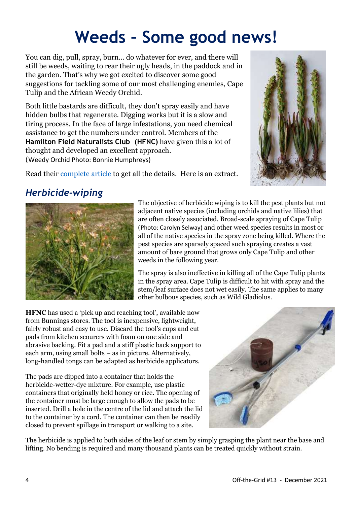### **Weeds – Some good news!**

You can dig, pull, spray, burn… do whatever for ever, and there will still be weeds, waiting to rear their ugly heads, in the paddock and in the garden. That's why we got excited to discover some good suggestions for tackling some of our most challenging enemies, Cape Tulip and the African Weedy Orchid.

Both little bastards are difficult, they don't spray easily and have hidden bulbs that regenerate. Digging works but it is a slow and tiring process. In the face of large infestations, you need chemical assistance to get the numbers under control. Members of the **Hamilton Field Naturalists Club (HFNC)** have given this a lot of thought and developed an excellent approach. (Weedy Orchid Photo: Bonnie Humphreys)



Read their [complete article](https://www.hamilton-field-naturalists-club-victoria.org.au/images/pdf/FloraReports/FloraConservationManagement/controlling-weeds-by-herbicide-wiping-2016.pdf) to get all the details. Here is an extract.

#### *Herbicide-wiping*



The objective of herbicide wiping is to kill the pest plants but not adjacent native species (including orchids and native lilies) that are often closely associated. Broad-scale spraying of Cape Tulip (Photo: Carolyn Selway) and other weed species results in most or all of the native species in the spray zone being killed. Where the pest species are sparsely spaced such spraying creates a vast amount of bare ground that grows only Cape Tulip and other weeds in the following year.

The spray is also ineffective in killing all of the Cape Tulip plants in the spray area. Cape Tulip is difficult to hit with spray and the stem/leaf surface does not wet easily. The same applies to many other bulbous species, such as Wild Gladiolus.

**HFNC** has used a 'pick up and reaching tool', available now from Bunnings stores. The tool is inexpensive, lightweight, fairly robust and easy to use. Discard the tool's cups and cut pads from kitchen scourers with foam on one side and abrasive backing. Fit a pad and a stiff plastic back support to each arm, using small bolts – as in picture. Alternatively, long-handled tongs can be adapted as herbicide applicators.

The pads are dipped into a container that holds the herbicide-wetter-dye mixture. For example, use plastic containers that originally held honey or rice. The opening of the container must be large enough to allow the pads to be inserted. Drill a hole in the centre of the lid and attach the lid to the container by a cord. The container can then be readily closed to prevent spillage in transport or walking to a site.



The herbicide is applied to both sides of the leaf or stem by simply grasping the plant near the base and lifting. No bending is required and many thousand plants can be treated quickly without strain.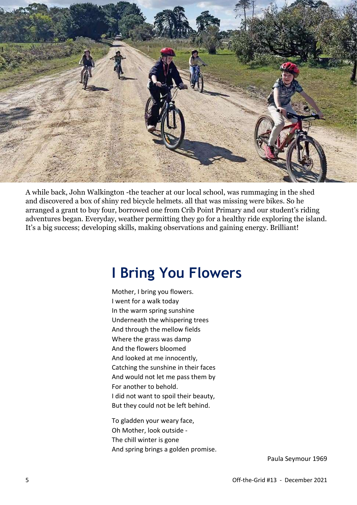

A while back, John Walkington -the teacher at our local school, was rummaging in the shed and discovered a box of shiny red bicycle helmets. all that was missing were bikes. So he arranged a grant to buy four, borrowed one from Crib Point Primary and our student's riding adventures began. Everyday, weather permitting they go for a healthy ride exploring the island. It's a big success; developing skills, making observations and gaining energy. Brilliant!

#### **I Bring You Flowers**

Mother, I bring you flowers. I went for a walk today In the warm spring sunshine Underneath the whispering trees And through the mellow fields Where the grass was damp And the flowers bloomed And looked at me innocently, Catching the sunshine in their faces And would not let me pass them by For another to behold. I did not want to spoil their beauty, But they could not be left behind.

To gladden your weary face, Oh Mother, look outside - The chill winter is gone And spring brings a golden promise.

Paula Seymour 1969